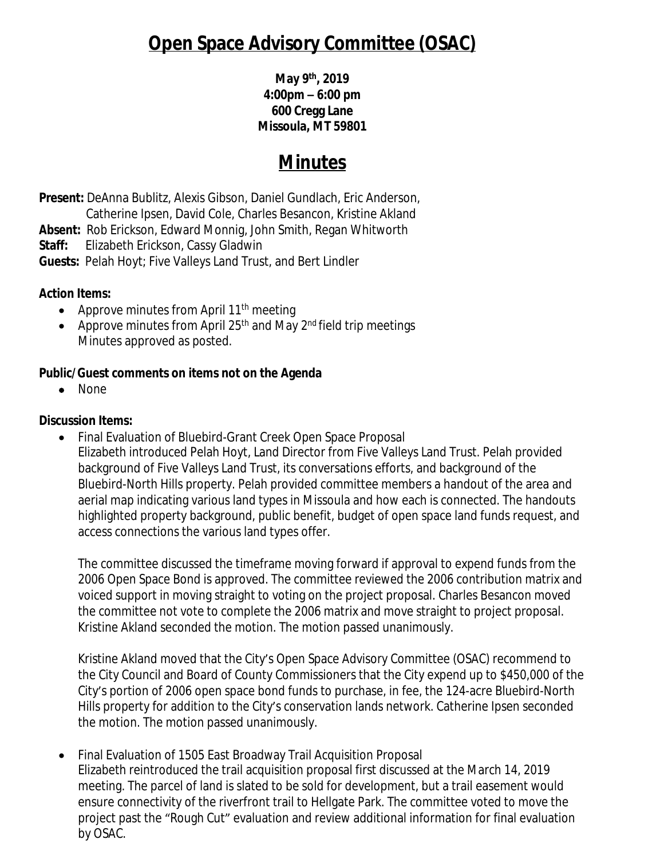# **Open Space Advisory Committee (OSAC)**

**May 9th, 2019 4:00pm – 6:00 pm 600 Cregg Lane Missoula, MT 59801**

## **Minutes**

**Present:** DeAnna Bublitz, Alexis Gibson, Daniel Gundlach, Eric Anderson, Catherine Ipsen, David Cole, Charles Besancon, Kristine Akland

**Absent:** Rob Erickson, Edward Monnig, John Smith, Regan Whitworth

**Staff:** Elizabeth Erickson, Cassy Gladwin

**Guests:** Pelah Hoyt; Five Valleys Land Trust, and Bert Lindler

### **Action Items:**

- Approve minutes from April  $11<sup>th</sup>$  meeting
- Approve minutes from April  $25<sup>th</sup>$  and May  $2<sup>nd</sup>$  field trip meetings Minutes approved as posted.

### **Public/Guest comments on items not on the Agenda**

• None

### **Discussion Items:**

 Final Evaluation of Bluebird-Grant Creek Open Space Proposal Elizabeth introduced Pelah Hoyt, Land Director from Five Valleys Land Trust. Pelah provided background of Five Valleys Land Trust, its conversations efforts, and background of the Bluebird-North Hills property. Pelah provided committee members a handout of the area and aerial map indicating various land types in Missoula and how each is connected. The handouts highlighted property background, public benefit, budget of open space land funds request, and access connections the various land types offer.

The committee discussed the timeframe moving forward if approval to expend funds from the 2006 Open Space Bond is approved. The committee reviewed the 2006 contribution matrix and voiced support in moving straight to voting on the project proposal. Charles Besancon moved the committee not vote to complete the 2006 matrix and move straight to project proposal. Kristine Akland seconded the motion. The motion passed unanimously.

Kristine Akland moved that the City's Open Space Advisory Committee (OSAC) recommend to the City Council and Board of County Commissioners that the City expend up to \$450,000 of the City's portion of 2006 open space bond funds to purchase, in fee, the 124-acre Bluebird-North Hills property for addition to the City's conservation lands network. Catherine Ipsen seconded the motion. The motion passed unanimously.

 Final Evaluation of 1505 East Broadway Trail Acquisition Proposal Elizabeth reintroduced the trail acquisition proposal first discussed at the March 14, 2019 meeting. The parcel of land is slated to be sold for development, but a trail easement would ensure connectivity of the riverfront trail to Hellgate Park. The committee voted to move the project past the "Rough Cut" evaluation and review additional information for final evaluation by OSAC.